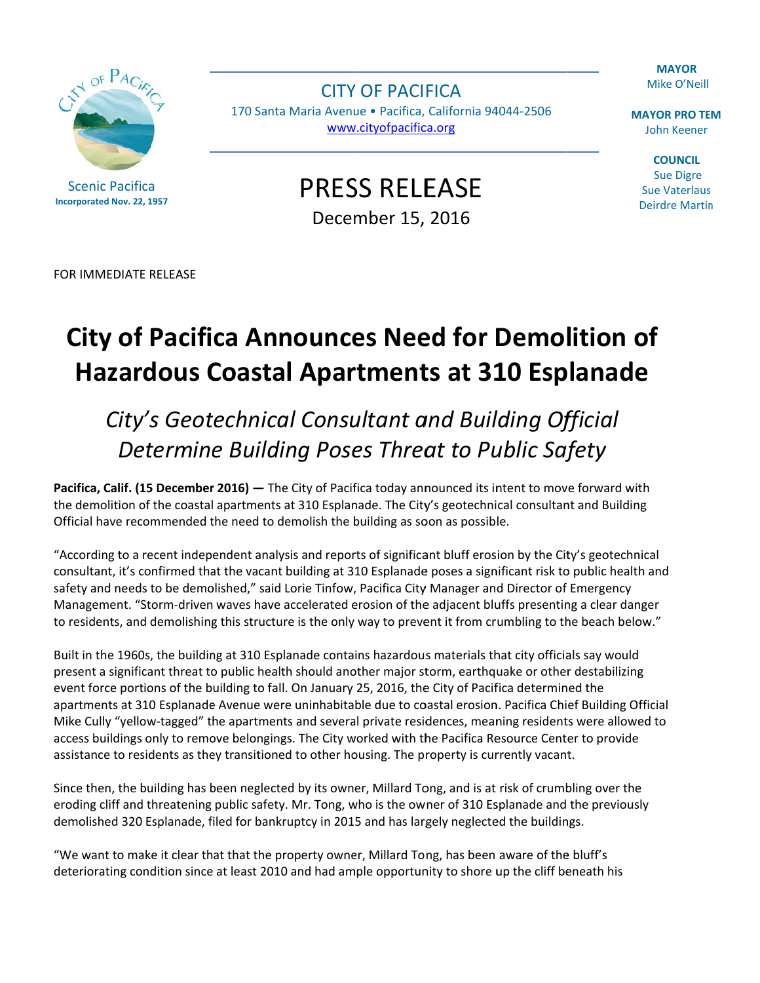**MAYOR** Mike O'Neill



**Scenic Pacifica Incorporated Nov. 22, 1957** 

**CITY OF PACIFICA** 170 Santa Maria Avenue · Pacifica, California 94044-2506 www.cityofpacifica.org

**MAYOR PRO TEM John Keener** 

**COUNCIL Sue Digre Sue Vaterlaus Deirdre Martin** 

**PRESS RELEASE** December 15, 2016

FOR IMMEDIATE RELEASE

## **City of Pacifica Announces Need for Demolition of Hazardous Coastal Apartments at 310 Esplanade**

## City's Geotechnical Consultant and Building Official Determine Building Poses Threat to Public Safety

Pacifica, Calif. (15 December 2016) - The City of Pacifica today announced its intent to move forward with the demolition of the coastal apartments at 310 Esplanade. The City's geotechnical consultant and Building Official have recommended the need to demolish the building as soon as possible.

"According to a recent independent analysis and reports of significant bluff erosion by the City's geotechnical consultant, it's confirmed that the vacant building at 310 Esplanade poses a significant risk to public health and safety and needs to be demolished," said Lorie Tinfow, Pacifica City Manager and Director of Emergency Management. "Storm-driven waves have accelerated erosion of the adjacent bluffs presenting a clear danger to residents, and demolishing this structure is the only way to prevent it from crumbling to the beach below."

Built in the 1960s, the building at 310 Esplanade contains hazardous materials that city officials say would present a significant threat to public health should another major storm, earthquake or other destabilizing event force portions of the building to fall. On January 25, 2016, the City of Pacifica determined the apartments at 310 Esplanade Avenue were uninhabitable due to coastal erosion. Pacifica Chief Building Official Mike Cully "yellow-tagged" the apartments and several private residences, meaning residents were allowed to access buildings only to remove belongings. The City worked with the Pacifica Resource Center to provide assistance to residents as they transitioned to other housing. The property is currently vacant.

Since then, the building has been neglected by its owner, Millard Tong, and is at risk of crumbling over the eroding cliff and threatening public safety. Mr. Tong, who is the owner of 310 Esplanade and the previously demolished 320 Esplanade, filed for bankruptcy in 2015 and has largely neglected the buildings.

"We want to make it clear that that the property owner, Millard Tong, has been aware of the bluff's deteriorating condition since at least 2010 and had ample opportunity to shore up the cliff beneath his